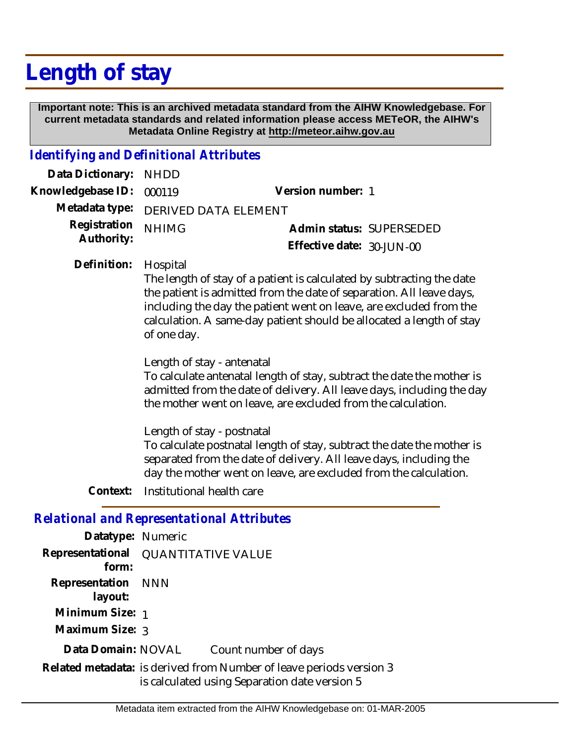# **Length of stay**

 **Important note: This is an archived metadata standard from the AIHW Knowledgebase. For current metadata standards and related information please access METeOR, the AIHW's Metadata Online Registry at http://meteor.aihw.gov.au**

### *Identifying and Definitional Attributes*

| Data Dictionary: NHDD         |                                     |                              |  |
|-------------------------------|-------------------------------------|------------------------------|--|
| Knowledgebase ID: 000119      |                                     | Version number: 1            |  |
|                               | Metadata type: DERIVED DATA ELEMENT |                              |  |
| Registration <sub>NHIMG</sub> |                                     | Admin status: SUPERSEDED     |  |
| Authority:                    |                                     | Effective date: $30$ -JUN-00 |  |

Hospital **Definition:**

> The length of stay of a patient is calculated by subtracting the date the patient is admitted from the date of separation. All leave days, including the day the patient went on leave, are excluded from the calculation. A same-day patient should be allocated a length of stay of one day.

Length of stay - antenatal

To calculate antenatal length of stay, subtract the date the mother is admitted from the date of delivery. All leave days, including the day the mother went on leave, are excluded from the calculation.

Length of stay - postnatal To calculate postnatal length of stay, subtract the date the mother is separated from the date of delivery. All leave days, including the day the mother went on leave, are excluded from the calculation.

**Context:** Institutional health care

### *Relational and Representational Attributes*

| Datatype: Numeric             |                                                                                                                      |                      |
|-------------------------------|----------------------------------------------------------------------------------------------------------------------|----------------------|
| form:                         | Representational QUANTITATIVE VALUE                                                                                  |                      |
| Representation NNN<br>layout: |                                                                                                                      |                      |
| Minimum Size: 1               |                                                                                                                      |                      |
| Maximum Size: 3               |                                                                                                                      |                      |
| Data Domain: NOVAL            |                                                                                                                      | Count number of days |
|                               | Related metadata: is derived from Number of leave periods version 3<br>is calculated using Separation date version 5 |                      |